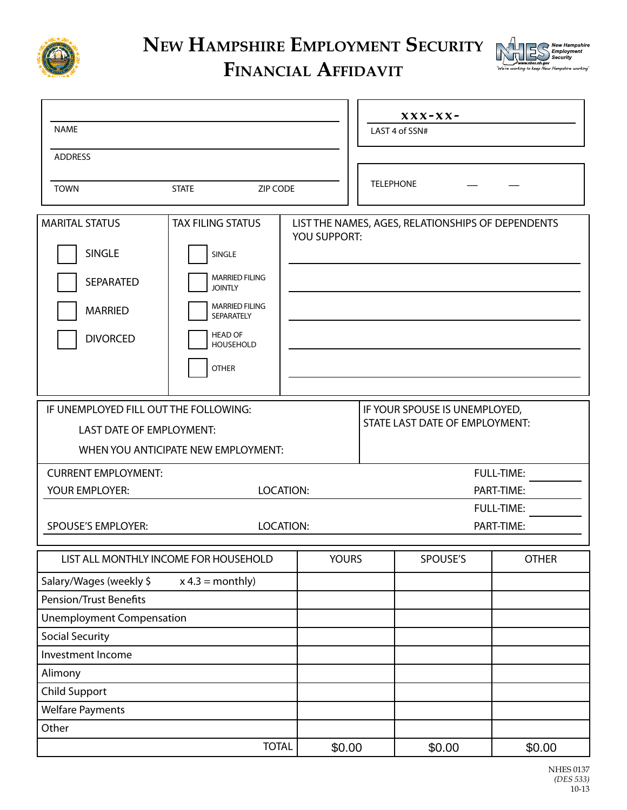

## **New Hampshire Employment Security**



## **Financial Affidavit**

|                                                                                                 |                                                                                                                                                                                   |                     | $XXX-XX-$                      |                                                   |              |  |  |
|-------------------------------------------------------------------------------------------------|-----------------------------------------------------------------------------------------------------------------------------------------------------------------------------------|---------------------|--------------------------------|---------------------------------------------------|--------------|--|--|
| <b>NAME</b>                                                                                     |                                                                                                                                                                                   |                     | LAST 4 of SSN#                 |                                                   |              |  |  |
| <b>ADDRESS</b>                                                                                  |                                                                                                                                                                                   |                     |                                |                                                   |              |  |  |
|                                                                                                 |                                                                                                                                                                                   |                     |                                |                                                   |              |  |  |
| <b>TOWN</b>                                                                                     | <b>STATE</b><br><b>ZIP CODE</b>                                                                                                                                                   |                     | <b>TELEPHONE</b>               |                                                   |              |  |  |
| <b>MARITAL STATUS</b><br><b>SINGLE</b><br><b>SEPARATED</b><br><b>MARRIED</b><br><b>DIVORCED</b> | <b>TAX FILING STATUS</b><br>SINGLE<br><b>MARRIED FILING</b><br><b>JOINTLY</b><br><b>MARRIED FILING</b><br><b>SEPARATELY</b><br><b>HEAD OF</b><br><b>HOUSEHOLD</b><br><b>OTHER</b> | <b>YOU SUPPORT:</b> |                                | LIST THE NAMES, AGES, RELATIONSHIPS OF DEPENDENTS |              |  |  |
| IF UNEMPLOYED FILL OUT THE FOLLOWING:                                                           |                                                                                                                                                                                   |                     | IF YOUR SPOUSE IS UNEMPLOYED,  |                                                   |              |  |  |
| LAST DATE OF EMPLOYMENT:                                                                        |                                                                                                                                                                                   |                     | STATE LAST DATE OF EMPLOYMENT: |                                                   |              |  |  |
| WHEN YOU ANTICIPATE NEW EMPLOYMENT:                                                             |                                                                                                                                                                                   |                     |                                |                                                   |              |  |  |
| <b>CURRENT EMPLOYMENT:</b>                                                                      |                                                                                                                                                                                   | <b>FULL-TIME:</b>   |                                |                                                   |              |  |  |
| YOUR EMPLOYER:                                                                                  | LOCATION:                                                                                                                                                                         |                     | PART-TIME:                     |                                                   |              |  |  |
|                                                                                                 |                                                                                                                                                                                   | <b>FULL-TIME:</b>   |                                |                                                   |              |  |  |
| <b>SPOUSE'S EMPLOYER:</b><br>LOCATION:                                                          |                                                                                                                                                                                   |                     | PART-TIME:                     |                                                   |              |  |  |
|                                                                                                 |                                                                                                                                                                                   |                     |                                |                                                   |              |  |  |
| LIST ALL MONTHLY INCOME FOR HOUSEHOLD                                                           |                                                                                                                                                                                   | <b>YOURS</b>        |                                | SPOUSE'S                                          | <b>OTHER</b> |  |  |
| Salary/Wages (weekly \$<br>$x 4.3 = monthly$                                                    |                                                                                                                                                                                   |                     |                                |                                                   |              |  |  |
| <b>Pension/Trust Benefits</b>                                                                   |                                                                                                                                                                                   |                     |                                |                                                   |              |  |  |
| <b>Unemployment Compensation</b>                                                                |                                                                                                                                                                                   |                     |                                |                                                   |              |  |  |
| <b>Social Security</b>                                                                          |                                                                                                                                                                                   |                     |                                |                                                   |              |  |  |
| Investment Income                                                                               |                                                                                                                                                                                   |                     |                                |                                                   |              |  |  |
| Alimony                                                                                         |                                                                                                                                                                                   |                     |                                |                                                   |              |  |  |
| <b>Child Support</b>                                                                            |                                                                                                                                                                                   |                     |                                |                                                   |              |  |  |
| <b>Welfare Payments</b>                                                                         |                                                                                                                                                                                   |                     |                                |                                                   |              |  |  |
| Other                                                                                           |                                                                                                                                                                                   |                     |                                |                                                   |              |  |  |
|                                                                                                 | <b>TOTAL</b>                                                                                                                                                                      | \$0.00              |                                | \$0.00                                            | \$0.00       |  |  |